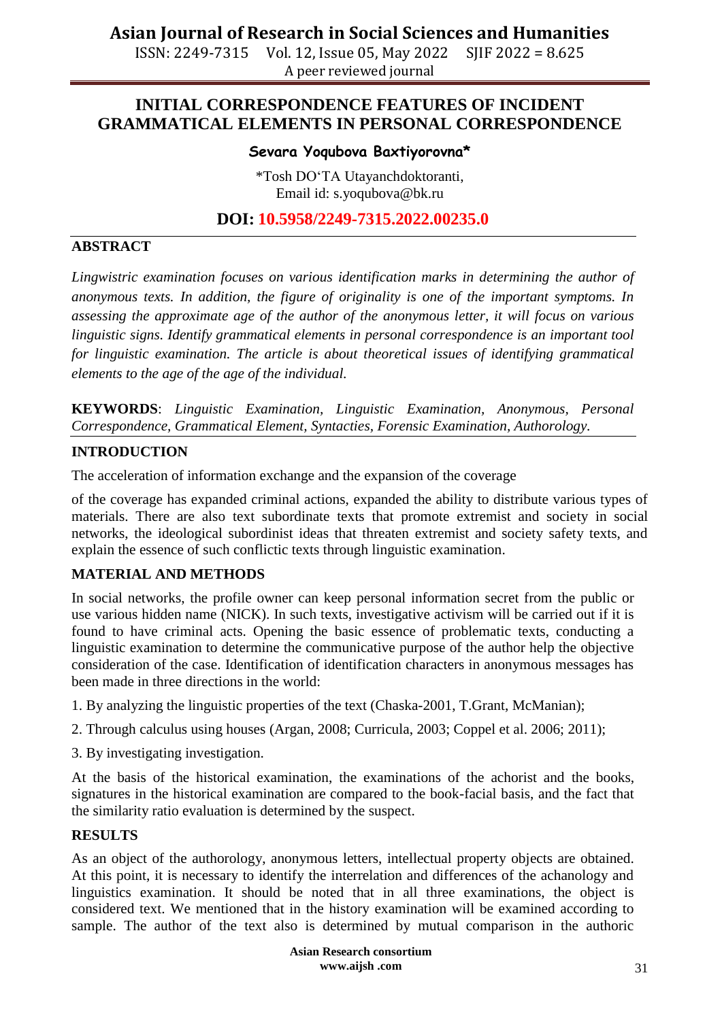ISSN: 2249-7315 Vol. 12, Issue 05, May 2022 SJIF 2022 = 8.625 A peer reviewed journal

## **INITIAL CORRESPONDENCE FEATURES OF INCIDENT GRAMMATICAL ELEMENTS IN PERSONAL CORRESPONDENCE**

### **Sevara Yoqubova Baxtiyorovna\***

\*Tosh DO'TA Utayanchdoktoranti, Email id: s.yoqubova@bk.ru

## **DOI: 10.5958/2249-7315.2022.00235.0**

### **ABSTRACT**

*Lingwistric examination focuses on various identification marks in determining the author of anonymous texts. In addition, the figure of originality is one of the important symptoms. In assessing the approximate age of the author of the anonymous letter, it will focus on various linguistic signs. Identify grammatical elements in personal correspondence is an important tool for linguistic examination. The article is about theoretical issues of identifying grammatical elements to the age of the age of the individual.*

**KEYWORDS**: *Linguistic Examination, Linguistic Examination, Anonymous, Personal Correspondence, Grammatical Element, Syntacties, Forensic Examination, Authorology.*

#### **INTRODUCTION**

The acceleration of information exchange and the expansion of the coverage

of the coverage has expanded criminal actions, expanded the ability to distribute various types of materials. There are also text subordinate texts that promote extremist and society in social networks, the ideological subordinist ideas that threaten extremist and society safety texts, and explain the essence of such conflictic texts through linguistic examination.

## **MATERIAL AND METHODS**

In social networks, the profile owner can keep personal information secret from the public or use various hidden name (NICK). In such texts, investigative activism will be carried out if it is found to have criminal acts. Opening the basic essence of problematic texts, conducting a linguistic examination to determine the communicative purpose of the author help the objective consideration of the case. Identification of identification characters in anonymous messages has been made in three directions in the world:

- 1. By analyzing the linguistic properties of the text (Chaska-2001, T.Grant, McManian);
- 2. Through calculus using houses (Argan, 2008; Curricula, 2003; Coppel et al. 2006; 2011);
- 3. By investigating investigation.

At the basis of the historical examination, the examinations of the achorist and the books, signatures in the historical examination are compared to the book-facial basis, and the fact that the similarity ratio evaluation is determined by the suspect.

## **RESULTS**

As an object of the authorology, anonymous letters, intellectual property objects are obtained. At this point, it is necessary to identify the interrelation and differences of the achanology and linguistics examination. It should be noted that in all three examinations, the object is considered text. We mentioned that in the history examination will be examined according to sample. The author of the text also is determined by mutual comparison in the authoric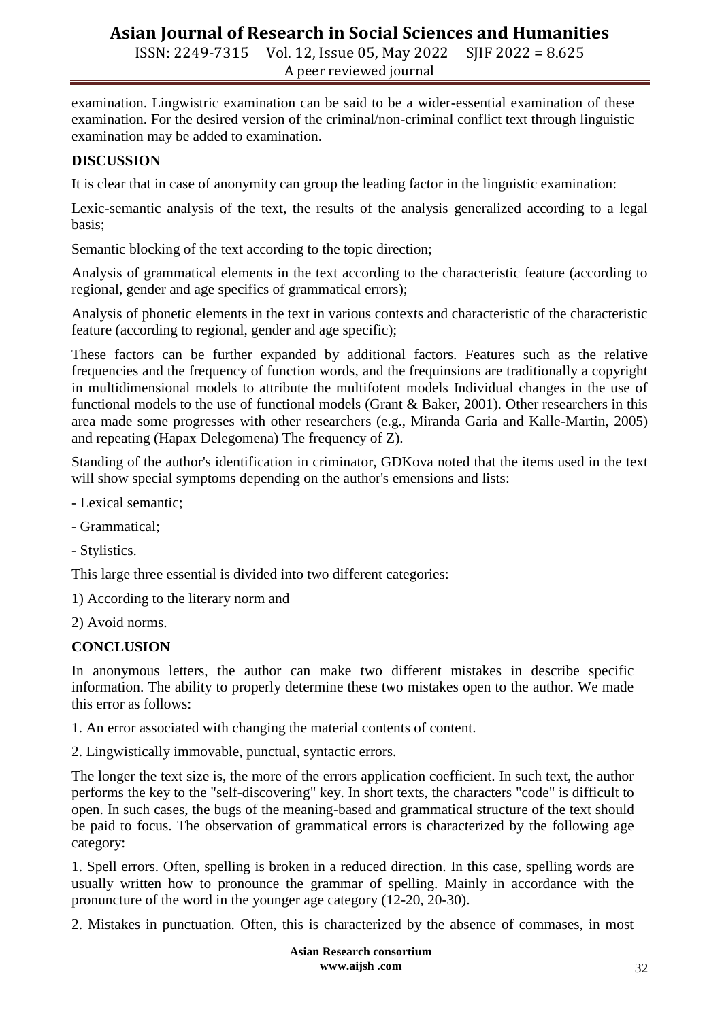ISSN: 2249-7315 Vol. 12, Issue 05, May 2022 SJIF 2022 = 8.625 A peer reviewed journal

examination. Lingwistric examination can be said to be a wider-essential examination of these examination. For the desired version of the criminal/non-criminal conflict text through linguistic examination may be added to examination.

### **DISCUSSION**

It is clear that in case of anonymity can group the leading factor in the linguistic examination:

Lexic-semantic analysis of the text, the results of the analysis generalized according to a legal basis;

Semantic blocking of the text according to the topic direction;

Analysis of grammatical elements in the text according to the characteristic feature (according to regional, gender and age specifics of grammatical errors);

Analysis of phonetic elements in the text in various contexts and characteristic of the characteristic feature (according to regional, gender and age specific);

These factors can be further expanded by additional factors. Features such as the relative frequencies and the frequency of function words, and the frequinsions are traditionally a copyright in multidimensional models to attribute the multifotent models Individual changes in the use of functional models to the use of functional models (Grant & Baker, 2001). Other researchers in this area made some progresses with other researchers (e.g., Miranda Garia and Kalle-Martin, 2005) and repeating (Hapax Delegomena) The frequency of Z).

Standing of the author's identification in criminator, GDKova noted that the items used in the text will show special symptoms depending on the author's emensions and lists:

- Lexical semantic;
- Grammatical;
- Stylistics.

This large three essential is divided into two different categories:

1) According to the literary norm and

2) Avoid norms.

#### **CONCLUSION**

In anonymous letters, the author can make two different mistakes in describe specific information. The ability to properly determine these two mistakes open to the author. We made this error as follows:

1. An error associated with changing the material contents of content.

2. Lingwistically immovable, punctual, syntactic errors.

The longer the text size is, the more of the errors application coefficient. In such text, the author performs the key to the "self-discovering" key. In short texts, the characters "code" is difficult to open. In such cases, the bugs of the meaning-based and grammatical structure of the text should be paid to focus. The observation of grammatical errors is characterized by the following age category:

1. Spell errors. Often, spelling is broken in a reduced direction. In this case, spelling words are usually written how to pronounce the grammar of spelling. Mainly in accordance with the pronuncture of the word in the younger age category (12-20, 20-30).

2. Mistakes in punctuation. Often, this is characterized by the absence of commases, in most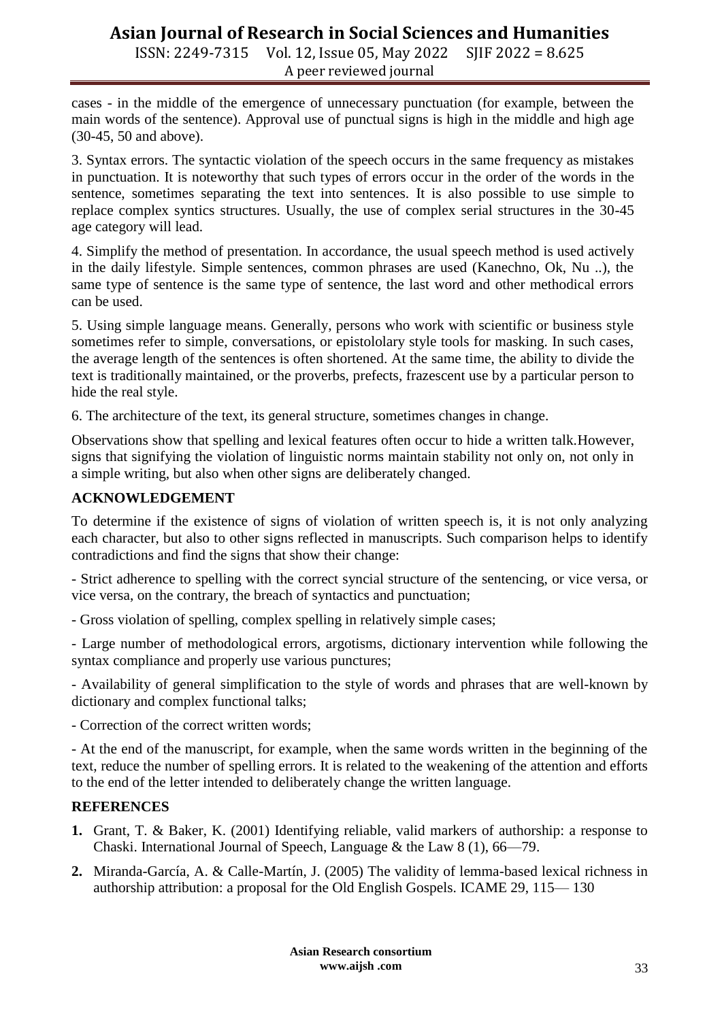ISSN: 2249-7315 Vol. 12, Issue 05, May 2022 SJIF 2022 = 8.625 A peer reviewed journal

cases - in the middle of the emergence of unnecessary punctuation (for example, between the main words of the sentence). Approval use of punctual signs is high in the middle and high age (30-45, 50 and above).

3. Syntax errors. The syntactic violation of the speech occurs in the same frequency as mistakes in punctuation. It is noteworthy that such types of errors occur in the order of the words in the sentence, sometimes separating the text into sentences. It is also possible to use simple to replace complex syntics structures. Usually, the use of complex serial structures in the 30-45 age category will lead.

4. Simplify the method of presentation. In accordance, the usual speech method is used actively in the daily lifestyle. Simple sentences, common phrases are used (Kanechno, Ok, Nu ..), the same type of sentence is the same type of sentence, the last word and other methodical errors can be used.

5. Using simple language means. Generally, persons who work with scientific or business style sometimes refer to simple, conversations, or epistololary style tools for masking. In such cases, the average length of the sentences is often shortened. At the same time, the ability to divide the text is traditionally maintained, or the proverbs, prefects, frazescent use by a particular person to hide the real style.

6. The architecture of the text, its general structure, sometimes changes in change.

Observations show that spelling and lexical features often occur to hide a written talk.However, signs that signifying the violation of linguistic norms maintain stability not only on, not only in a simple writing, but also when other signs are deliberately changed.

## **ACKNOWLEDGEMENT**

To determine if the existence of signs of violation of written speech is, it is not only analyzing each character, but also to other signs reflected in manuscripts. Such comparison helps to identify contradictions and find the signs that show their change:

- Strict adherence to spelling with the correct syncial structure of the sentencing, or vice versa, or vice versa, on the contrary, the breach of syntactics and punctuation;

- Gross violation of spelling, complex spelling in relatively simple cases;

- Large number of methodological errors, argotisms, dictionary intervention while following the syntax compliance and properly use various punctures;

- Availability of general simplification to the style of words and phrases that are well-known by dictionary and complex functional talks;

- Correction of the correct written words;

- At the end of the manuscript, for example, when the same words written in the beginning of the text, reduce the number of spelling errors. It is related to the weakening of the attention and efforts to the end of the letter intended to deliberately change the written language.

## **REFERENCES**

- **1.** Grant, T. & Baker, K. (2001) Identifying reliable, valid markers of authorship: a response to Chaski. International Journal of Speech, Language & the Law 8 (1), 66—79.
- **2.** Miranda-García, A. & Calle-Martín, J. (2005) The validity of lemma-based lexical richness in authorship attribution: a proposal for the Old English Gospels. ICAME 29, 115— 130